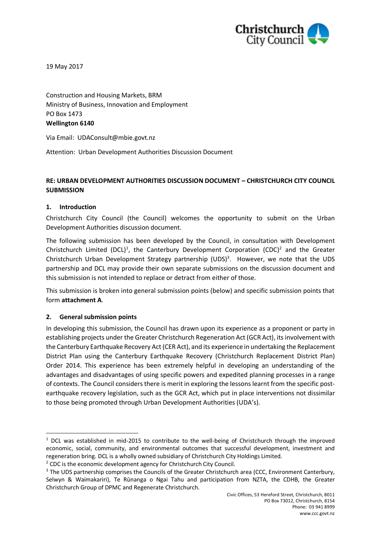

19 May 2017

Construction and Housing Markets, BRM Ministry of Business, Innovation and Employment PO Box 1473 **Wellington 6140**

Via Email: [UDAConsult@mbie.govt.nz](mailto:UDAConsult@mbie.govt.nz)

Attention: Urban Development Authorities Discussion Document

# **RE: URBAN DEVELOPMENT AUTHORITIES DISCUSSION DOCUMENT – CHRISTCHURCH CITY COUNCIL SUBMISSION**

### **1. Introduction**

Christchurch City Council (the Council) welcomes the opportunity to submit on the Urban Development Authorities discussion document.

The following submission has been developed by the Council, in consultation with Development Christchurch Limited (DCL)<sup>1</sup>, the Canterbury Development Corporation (CDC)<sup>2</sup> and the Greater Christchurch Urban Development Strategy partnership (UDS)<sup>3</sup>. However, we note that the UDS partnership and DCL may provide their own separate submissions on the discussion document and this submission is not intended to replace or detract from either of those.

This submission is broken into general submission points (below) and specific submission points that form **attachment A**.

## **2. General submission points**

1

In developing this submission, the Council has drawn upon its experience as a proponent or party in establishing projects under the Greater Christchurch Regeneration Act (GCR Act), its involvement with the Canterbury Earthquake Recovery Act (CER Act), and its experience in undertaking the Replacement District Plan using the Canterbury Earthquake Recovery (Christchurch Replacement District Plan) Order 2014. This experience has been extremely helpful in developing an understanding of the advantages and disadvantages of using specific powers and expedited planning processes in a range of contexts. The Council considers there is merit in exploring the lessons learnt from the specific postearthquake recovery legislation, such as the GCR Act, which put in place interventions not dissimilar to those being promoted through Urban Development Authorities (UDA's).

<sup>&</sup>lt;sup>1</sup> DCL was established in mid-2015 to contribute to the well-being of Christchurch through the improved economic, social, community, and environmental outcomes that successful development, investment and regeneration bring. DCL is a wholly owned subsidiary of Christchurch City Holdings Limited.

<sup>&</sup>lt;sup>2</sup> CDC is the economic development agency for Christchurch City Council.

<sup>&</sup>lt;sup>3</sup> The UDS partnership comprises the Councils of the Greater Christchurch area (CCC, Environment Canterbury, Selwyn & Waimakariri), Te Rūnanga o Ngai Tahu and participation from NZTA, the CDHB, the Greater Christchurch Group of DPMC and Regenerate Christchurch.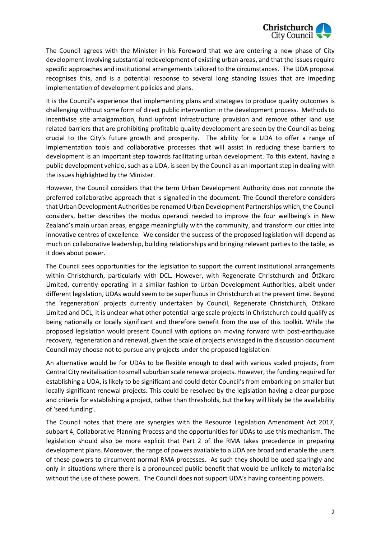

The Council agrees with the Minister in his Foreword that we are entering a new phase of City development involving substantial redevelopment of existing urban areas, and that the issues require specific approaches and institutional arrangements tailored to the circumstances. The UDA proposal recognises this, and is a potential response to several long standing issues that are impeding implementation of development policies and plans.

It is the Council's experience that implementing plans and strategies to produce quality outcomes is challenging without some form of direct public intervention in the development process. Methods to incentivise site amalgamation, fund upfront infrastructure provision and remove other land use related barriers that are prohibiting profitable quality development are seen by the Council as being crucial to the City's future growth and prosperity. The ability for a UDA to offer a range of implementation tools and collaborative processes that will assist in reducing these barriers to development is an important step towards facilitating urban development. To this extent, having a public development vehicle, such as a UDA, is seen by the Council as an important step in dealing with the issues highlighted by the Minister.

However, the Council considers that the term Urban Development Authority does not connote the preferred collaborative approach that is signalled in the document. The Council therefore considers that Urban Development Authorities be renamed Urban Development Partnerships which, the Council considers, better describes the modus operandi needed to improve the four wellbeing's in New Zealand's main urban areas, engage meaningfully with the community, and transform our cities into innovative centres of excellence. We consider the success of the proposed legislation will depend as much on collaborative leadership, building relationships and bringing relevant parties to the table, as it does about power.

The Council sees opportunities for the legislation to support the current institutional arrangements within Christchurch, particularly with DCL. However, with Regenerate Christchurch and Ōtākaro Limited, currently operating in a similar fashion to Urban Development Authorities, albeit under different legislation, UDAs would seem to be superfluous in Christchurch at the present time. Beyond the 'regeneration' projects currently undertaken by Council, Regenerate Christchurch, Ōtākaro Limited and DCL, it is unclear what other potential large scale projects in Christchurch could qualify as being nationally or locally significant and therefore benefit from the use of this toolkit. While the proposed legislation would present Council with options on moving forward with post-earthquake recovery, regeneration and renewal, given the scale of projects envisaged in the discussion document Council may choose not to pursue any projects under the proposed legislation.

An alternative would be for UDAs to be flexible enough to deal with various scaled projects, from Central City revitalisation to small suburban scale renewal projects. However, the funding required for establishing a UDA, is likely to be significant and could deter Council's from embarking on smaller but locally significant renewal projects. This could be resolved by the legislation having a clear purpose and criteria for establishing a project, rather than thresholds, but the key will likely be the availability of 'seed funding'.

The Council notes that there are synergies with the Resource Legislation Amendment Act 2017, subpart 4, Collaborative Planning Process and the opportunities for UDAs to use this mechanism. The legislation should also be more explicit that Part 2 of the RMA takes precedence in preparing development plans. Moreover, the range of powers available to a UDA are broad and enable the users of these powers to circumvent normal RMA processes. As such they should be used sparingly and only in situations where there is a pronounced public benefit that would be unlikely to materialise without the use of these powers. The Council does not support UDA's having consenting powers.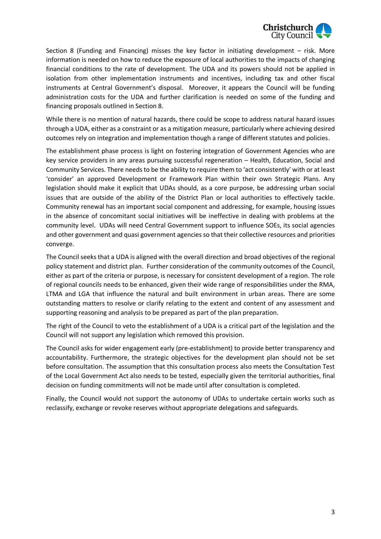

Section 8 (Funding and Financing) misses the key factor in initiating development – risk. More information is needed on how to reduce the exposure of local authorities to the impacts of changing financial conditions to the rate of development. The UDA and its powers should not be applied in isolation from other implementation instruments and incentives, including tax and other fiscal instruments at Central Government's disposal. Moreover, it appears the Council will be funding administration costs for the UDA and further clarification is needed on some of the funding and financing proposals outlined in Section 8.

While there is no mention of natural hazards, there could be scope to address natural hazard issues through a UDA, either as a constraint or as a mitigation measure, particularly where achieving desired outcomes rely on integration and implementation though a range of different statutes and policies.

The establishment phase process is light on fostering integration of Government Agencies who are key service providers in any areas pursuing successful regeneration – Health, Education, Social and Community Services. There needs to be the ability to require them to 'act consistently' with or at least 'consider' an approved Development or Framework Plan within their own Strategic Plans. Any legislation should make it explicit that UDAs should, as a core purpose, be addressing urban social issues that are outside of the ability of the District Plan or local authorities to effectively tackle. Community renewal has an important social component and addressing, for example, housing issues in the absence of concomitant social initiatives will be ineffective in dealing with problems at the community level. UDAs will need Central Government support to influence SOEs, its social agencies and other government and quasi government agencies so that their collective resources and priorities converge.

The Council seeks that a UDA is aligned with the overall direction and broad objectives of the regional policy statement and district plan. Further consideration of the community outcomes of the Council, either as part of the criteria or purpose, is necessary for consistent development of a region. The role of regional councils needs to be enhanced, given their wide range of responsibilities under the RMA, LTMA and LGA that influence the natural and built environment in urban areas. There are some outstanding matters to resolve or clarify relating to the extent and content of any assessment and supporting reasoning and analysis to be prepared as part of the plan preparation.

The right of the Council to veto the establishment of a UDA is a critical part of the legislation and the Council will not support any legislation which removed this provision.

The Council asks for wider engagement early (pre-establishment) to provide better transparency and accountability. Furthermore, the strategic objectives for the development plan should not be set before consultation. The assumption that this consultation process also meets the Consultation Test of the Local Government Act also needs to be tested, especially given the territorial authorities, final decision on funding commitments will not be made until after consultation is completed.

Finally, the Council would not support the autonomy of UDAs to undertake certain works such as reclassify, exchange or revoke reserves without appropriate delegations and safeguards.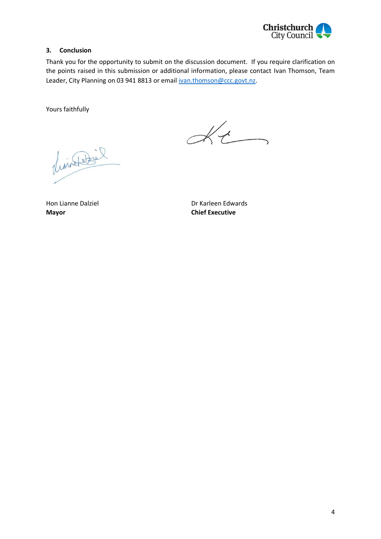

## **3. Conclusion**

Thank you for the opportunity to submit on the discussion document. If you require clarification on the points raised in this submission or additional information, please contact Ivan Thomson, Team Leader, City Planning on 03 941 8813 or email [ivan.thomson@ccc.govt.nz.](mailto:ivan.thomson@ccc.govt.nz)

Yours faithfully

 $K_{t}$ 

LionateBil

**Mayor Chief Executive**

Hon Lianne Dalziel **Hon Lianne Dalziel** Dr Karleen Edwards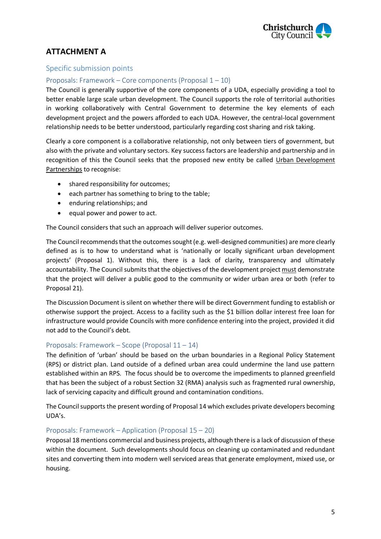

# **ATTACHMENT A**

# Specific submission points

# Proposals: Framework – Core components (Proposal 1 – 10)

The Council is generally supportive of the core components of a UDA, especially providing a tool to better enable large scale urban development. The Council supports the role of territorial authorities in working collaboratively with Central Government to determine the key elements of each development project and the powers afforded to each UDA. However, the central-local government relationship needs to be better understood, particularly regarding cost sharing and risk taking.

Clearly a core component is a collaborative relationship, not only between tiers of government, but also with the private and voluntary sectors. Key success factors are leadership and partnership and in recognition of this the Council seeks that the proposed new entity be called Urban Development Partnerships to recognise:

- shared responsibility for outcomes;
- $\bullet$  each partner has something to bring to the table:
- enduring relationships; and
- equal power and power to act.

The Council considers that such an approach will deliver superior outcomes.

The Council recommends that the outcomes sought (e.g. well-designed communities) are more clearly defined as is to how to understand what is 'nationally or locally significant urban development projects' (Proposal 1). Without this, there is a lack of clarity, transparency and ultimately accountability. The Council submits that the objectives of the development project must demonstrate that the project will deliver a public good to the community or wider urban area or both (refer to Proposal 21).

The Discussion Document is silent on whether there will be direct Government funding to establish or otherwise support the project. Access to a facility such as the \$1 billion dollar interest free loan for infrastructure would provide Councils with more confidence entering into the project, provided it did not add to the Council's debt.

## Proposals: Framework – Scope (Proposal 11 – 14)

The definition of 'urban' should be based on the urban boundaries in a Regional Policy Statement (RPS) or district plan. Land outside of a defined urban area could undermine the land use pattern established within an RPS. The focus should be to overcome the impediments to planned greenfield that has been the subject of a robust Section 32 (RMA) analysis such as fragmented rural ownership, lack of servicing capacity and difficult ground and contamination conditions.

The Council supports the present wording of Proposal 14 which excludes private developers becoming UDA's.

#### Proposals: Framework – Application (Proposal 15 – 20)

Proposal 18 mentions commercial and business projects, although there is a lack of discussion of these within the document. Such developments should focus on cleaning up contaminated and redundant sites and converting them into modern well serviced areas that generate employment, mixed use, or housing.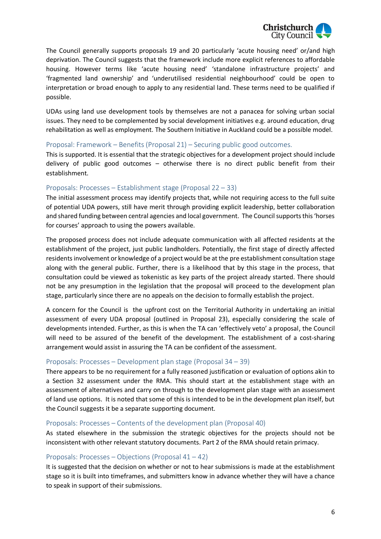

The Council generally supports proposals 19 and 20 particularly 'acute housing need' or/and high deprivation. The Council suggests that the framework include more explicit references to affordable housing. However terms like 'acute housing need' 'standalone infrastructure projects' and 'fragmented land ownership' and 'underutilised residential neighbourhood' could be open to interpretation or broad enough to apply to any residential land. These terms need to be qualified if possible.

UDAs using land use development tools by themselves are not a panacea for solving urban social issues. They need to be complemented by social development initiatives e.g. around education, drug rehabilitation as well as employment. The Southern Initiative in Auckland could be a possible model.

#### Proposal: Framework – Benefits (Proposal 21) – Securing public good outcomes.

This is supported. It is essential that the strategic objectives for a development project should include delivery of public good outcomes – otherwise there is no direct public benefit from their establishment.

### Proposals: Processes – Establishment stage (Proposal 22 – 33)

The initial assessment process may identify projects that, while not requiring access to the full suite of potential UDA powers, still have merit through providing explicit leadership, better collaboration and shared funding between central agencies and local government. The Council supports this 'horses for courses' approach to using the powers available.

The proposed process does not include adequate communication with all affected residents at the establishment of the project, just public landholders. Potentially, the first stage of directly affected residents involvement or knowledge of a project would be at the pre establishment consultation stage along with the general public. Further, there is a likelihood that by this stage in the process, that consultation could be viewed as tokenistic as key parts of the project already started. There should not be any presumption in the legislation that the proposal will proceed to the development plan stage, particularly since there are no appeals on the decision to formally establish the project.

A concern for the Council is the upfront cost on the Territorial Authority in undertaking an initial assessment of every UDA proposal (outlined in Proposal 23), especially considering the scale of developments intended. Further, as this is when the TA can 'effectively veto' a proposal, the Council will need to be assured of the benefit of the development. The establishment of a cost-sharing arrangement would assist in assuring the TA can be confident of the assessment.

#### Proposals: Processes – Development plan stage (Proposal 34 – 39)

There appears to be no requirement for a fully reasoned justification or evaluation of options akin to a Section 32 assessment under the RMA. This should start at the establishment stage with an assessment of alternatives and carry on through to the development plan stage with an assessment of land use options. It is noted that some of this is intended to be in the development plan itself, but the Council suggests it be a separate supporting document.

#### Proposals: Processes – Contents of the development plan (Proposal 40)

As stated elsewhere in the submission the strategic objectives for the projects should not be inconsistent with other relevant statutory documents. Part 2 of the RMA should retain primacy.

## Proposals: Processes – Objections (Proposal 41 – 42)

It is suggested that the decision on whether or not to hear submissions is made at the establishment stage so it is built into timeframes, and submitters know in advance whether they will have a chance to speak in support of their submissions.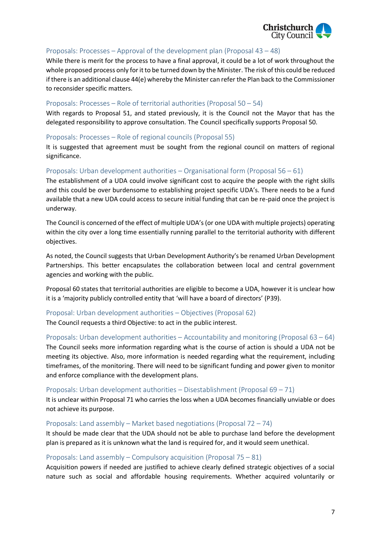

# Proposals: Processes – Approval of the development plan (Proposal 43 – 48)

While there is merit for the process to have a final approval, it could be a lot of work throughout the whole proposed process only for it to be turned down by the Minister. The risk of this could be reduced if there is an additional clause 44(e) whereby the Minister can refer the Plan back to the Commissioner to reconsider specific matters.

#### Proposals: Processes – Role of territorial authorities (Proposal 50 – 54)

With regards to Proposal 51, and stated previously, it is the Council not the Mayor that has the delegated responsibility to approve consultation. The Council specifically supports Proposal 50.

## Proposals: Processes – Role of regional councils (Proposal 55)

It is suggested that agreement must be sought from the regional council on matters of regional significance.

## Proposals: Urban development authorities – Organisational form (Proposal 56 – 61)

The establishment of a UDA could involve significant cost to acquire the people with the right skills and this could be over burdensome to establishing project specific UDA's. There needs to be a fund available that a new UDA could access to secure initial funding that can be re-paid once the project is underway.

The Council is concerned of the effect of multiple UDA's (or one UDA with multiple projects) operating within the city over a long time essentially running parallel to the territorial authority with different objectives.

As noted, the Council suggests that Urban Development Authority's be renamed Urban Development Partnerships. This better encapsulates the collaboration between local and central government agencies and working with the public.

Proposal 60 states that territorial authorities are eligible to become a UDA, however it is unclear how it is a 'majority publicly controlled entity that 'will have a board of directors' (P39).

#### Proposal: Urban development authorities – Objectives (Proposal 62)

The Council requests a third Objective: to act in the public interest.

# Proposals: Urban development authorities – Accountability and monitoring (Proposal 63 – 64) The Council seeks more information regarding what is the course of action is should a UDA not be meeting its objective. Also, more information is needed regarding what the requirement, including timeframes, of the monitoring. There will need to be significant funding and power given to monitor and enforce compliance with the development plans.

# Proposals: Urban development authorities – Disestablishment (Proposal 69 – 71)

It is unclear within Proposal 71 who carries the loss when a UDA becomes financially unviable or does not achieve its purpose.

#### Proposals: Land assembly – Market based negotiations (Proposal 72 – 74)

It should be made clear that the UDA should not be able to purchase land before the development plan is prepared as it is unknown what the land is required for, and it would seem unethical.

#### Proposals: Land assembly – Compulsory acquisition (Proposal 75 – 81)

Acquisition powers if needed are justified to achieve clearly defined strategic objectives of a social nature such as social and affordable housing requirements. Whether acquired voluntarily or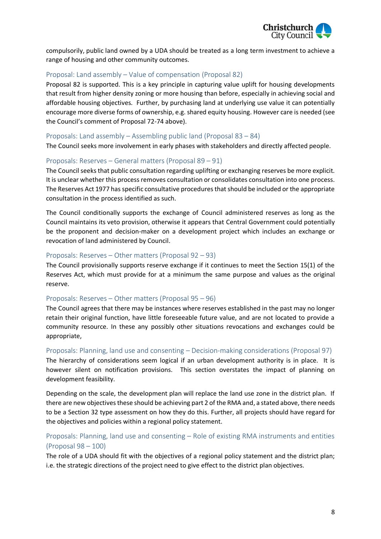

compulsorily, public land owned by a UDA should be treated as a long term investment to achieve a range of housing and other community outcomes.

### Proposal: Land assembly – Value of compensation (Proposal 82)

Proposal 82 is supported. This is a key principle in capturing value uplift for housing developments that result from higher density zoning or more housing than before, especially in achieving social and affordable housing objectives. Further, by purchasing land at underlying use value it can potentially encourage more diverse forms of ownership, e.g. shared equity housing. However care is needed (see the Council's comment of Proposal 72-74 above).

#### Proposals: Land assembly – Assembling public land (Proposal 83 – 84)

The Council seeks more involvement in early phases with stakeholders and directly affected people.

#### Proposals: Reserves – General matters (Proposal 89 – 91)

The Council seeks that public consultation regarding uplifting or exchanging reserves be more explicit. It is unclear whether this process removes consultation or consolidates consultation into one process. The Reserves Act 1977 has specific consultative procedures that should be included or the appropriate consultation in the process identified as such.

The Council conditionally supports the exchange of Council administered reserves as long as the Council maintains its veto provision, otherwise it appears that Central Government could potentially be the proponent and decision-maker on a development project which includes an exchange or revocation of land administered by Council.

#### Proposals: Reserves – Other matters (Proposal 92 – 93)

The Council provisionally supports reserve exchange if it continues to meet the Section 15(1) of the Reserves Act, which must provide for at a minimum the same purpose and values as the original reserve.

#### Proposals: Reserves – Other matters (Proposal 95 – 96)

The Council agrees that there may be instances where reserves established in the past may no longer retain their original function, have little foreseeable future value, and are not located to provide a community resource. In these any possibly other situations revocations and exchanges could be appropriate,

#### Proposals: Planning, land use and consenting – Decision-making considerations (Proposal 97)

The hierarchy of considerations seem logical if an urban development authority is in place. It is however silent on notification provisions. This section overstates the impact of planning on development feasibility.

Depending on the scale, the development plan will replace the land use zone in the district plan. If there are new objectives these should be achieving part 2 of the RMA and, a stated above, there needs to be a Section 32 type assessment on how they do this. Further, all projects should have regard for the objectives and policies within a regional policy statement.

# Proposals: Planning, land use and consenting – Role of existing RMA instruments and entities (Proposal 98 – 100)

The role of a UDA should fit with the objectives of a regional policy statement and the district plan; i.e. the strategic directions of the project need to give effect to the district plan objectives.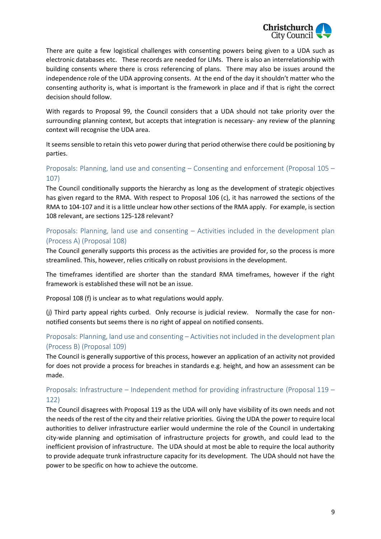

There are quite a few logistical challenges with consenting powers being given to a UDA such as electronic databases etc. These records are needed for LIMs. There is also an interrelationship with building consents where there is cross referencing of plans. There may also be issues around the independence role of the UDA approving consents. At the end of the day it shouldn't matter who the consenting authority is, what is important is the framework in place and if that is right the correct decision should follow.

With regards to Proposal 99, the Council considers that a UDA should not take priority over the surrounding planning context, but accepts that integration is necessary- any review of the planning context will recognise the UDA area.

It seems sensible to retain this veto power during that period otherwise there could be positioning by parties.

# Proposals: Planning, land use and consenting – Consenting and enforcement (Proposal 105 – 107)

The Council conditionally supports the hierarchy as long as the development of strategic objectives has given regard to the RMA. With respect to Proposal 106 (c), it has narrowed the sections of the RMA to 104-107 and it is a little unclear how other sections of the RMA apply. For example, is section 108 relevant, are sections 125-128 relevant?

# Proposals: Planning, land use and consenting – Activities included in the development plan (Process A) (Proposal 108)

The Council generally supports this process as the activities are provided for, so the process is more streamlined. This, however, relies critically on robust provisions in the development.

The timeframes identified are shorter than the standard RMA timeframes, however if the right framework is established these will not be an issue.

Proposal 108 (f) is unclear as to what regulations would apply.

(j) Third party appeal rights curbed. Only recourse is judicial review. Normally the case for nonnotified consents but seems there is no right of appeal on notified consents.

# Proposals: Planning, land use and consenting – Activities not included in the development plan (Process B) (Proposal 109)

The Council is generally supportive of this process, however an application of an activity not provided for does not provide a process for breaches in standards e.g. height, and how an assessment can be made.

# Proposals: Infrastructure – Independent method for providing infrastructure (Proposal 119 – 122)

The Council disagrees with Proposal 119 as the UDA will only have visibility of its own needs and not the needs of the rest of the city and their relative priorities. Giving the UDA the power to require local authorities to deliver infrastructure earlier would undermine the role of the Council in undertaking city-wide planning and optimisation of infrastructure projects for growth, and could lead to the inefficient provision of infrastructure. The UDA should at most be able to require the local authority to provide adequate trunk infrastructure capacity for its development. The UDA should not have the power to be specific on how to achieve the outcome.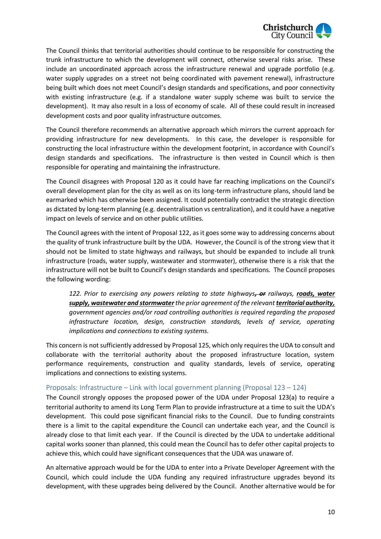

The Council thinks that territorial authorities should continue to be responsible for constructing the trunk infrastructure to which the development will connect, otherwise several risks arise. These include an uncoordinated approach across the infrastructure renewal and upgrade portfolio (e.g. water supply upgrades on a street not being coordinated with pavement renewal), infrastructure being built which does not meet Council's design standards and specifications, and poor connectivity with existing infrastructure (e.g. if a standalone water supply scheme was built to service the development). It may also result in a loss of economy of scale. All of these could result in increased development costs and poor quality infrastructure outcomes.

The Council therefore recommends an alternative approach which mirrors the current approach for providing infrastructure for new developments. In this case, the developer is responsible for constructing the local infrastructure within the development footprint, in accordance with Council's design standards and specifications. The infrastructure is then vested in Council which is then responsible for operating and maintaining the infrastructure.

The Council disagrees with Proposal 120 as it could have far reaching implications on the Council's overall development plan for the city as well as on its long-term infrastructure plans, should land be earmarked which has otherwise been assigned. It could potentially contradict the strategic direction as dictated by long-term planning (e.g. decentralisation vs centralization), and it could have a negative impact on levels of service and on other public utilities.

The Council agrees with the intent of Proposal 122, as it goes some way to addressing concerns about the quality of trunk infrastructure built by the UDA. However, the Council is of the strong view that it should not be limited to state highways and railways, but should be expanded to include all trunk infrastructure (roads, water supply, wastewater and stormwater), otherwise there is a risk that the infrastructure will not be built to Council's design standards and specifications. The Council proposes the following wording:

*122. Prior to exercising any powers relating to state highways, or railways, roads, water supply, wastewater and stormwater the prior agreement of the relevant territorial authority, government agencies and/or road controlling authorities is required regarding the proposed infrastructure location, design, construction standards, levels of service, operating implications and connections to existing systems.*

This concern is not sufficiently addressed by Proposal 125, which only requires the UDA to consult and collaborate with the territorial authority about the proposed infrastructure location, system performance requirements, construction and quality standards, levels of service, operating implications and connections to existing systems.

## Proposals: Infrastructure – Link with local government planning (Proposal 123 – 124)

The Council strongly opposes the proposed power of the UDA under Proposal 123(a) to require a territorial authority to amend its Long Term Plan to provide infrastructure at a time to suit the UDA's development. This could pose significant financial risks to the Council. Due to funding constraints there is a limit to the capital expenditure the Council can undertake each year, and the Council is already close to that limit each year. If the Council is directed by the UDA to undertake additional capital works sooner than planned, this could mean the Council has to defer other capital projects to achieve this, which could have significant consequences that the UDA was unaware of.

An alternative approach would be for the UDA to enter into a Private Developer Agreement with the Council, which could include the UDA funding any required infrastructure upgrades beyond its development, with these upgrades being delivered by the Council. Another alternative would be for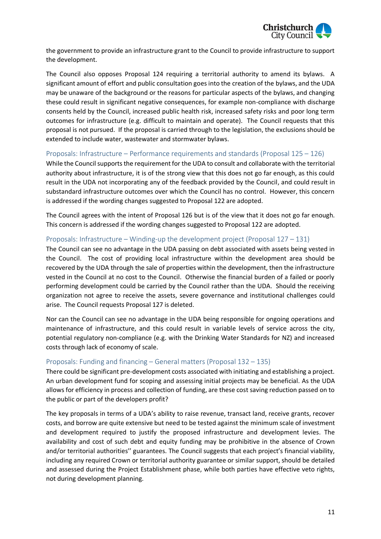

the government to provide an infrastructure grant to the Council to provide infrastructure to support the development.

The Council also opposes Proposal 124 requiring a territorial authority to amend its bylaws. A significant amount of effort and public consultation goes into the creation of the bylaws, and the UDA may be unaware of the background or the reasons for particular aspects of the bylaws, and changing these could result in significant negative consequences, for example non-compliance with discharge consents held by the Council, increased public health risk, increased safety risks and poor long term outcomes for infrastructure (e.g. difficult to maintain and operate). The Council requests that this proposal is not pursued. If the proposal is carried through to the legislation, the exclusions should be extended to include water, wastewater and stormwater bylaws.

### Proposals: Infrastructure – Performance requirements and standards (Proposal 125 – 126)

While the Council supports the requirement for the UDA to consult and collaborate with the territorial authority about infrastructure, it is of the strong view that this does not go far enough, as this could result in the UDA not incorporating any of the feedback provided by the Council, and could result in substandard infrastructure outcomes over which the Council has no control. However, this concern is addressed if the wording changes suggested to Proposal 122 are adopted.

The Council agrees with the intent of Proposal 126 but is of the view that it does not go far enough. This concern is addressed if the wording changes suggested to Proposal 122 are adopted.

### Proposals: Infrastructure – Winding-up the development project (Proposal 127 – 131)

The Council can see no advantage in the UDA passing on debt associated with assets being vested in the Council. The cost of providing local infrastructure within the development area should be recovered by the UDA through the sale of properties within the development, then the infrastructure vested in the Council at no cost to the Council. Otherwise the financial burden of a failed or poorly performing development could be carried by the Council rather than the UDA. Should the receiving organization not agree to receive the assets, severe governance and institutional challenges could arise. The Council requests Proposal 127 is deleted.

Nor can the Council can see no advantage in the UDA being responsible for ongoing operations and maintenance of infrastructure, and this could result in variable levels of service across the city, potential regulatory non-compliance (e.g. with the Drinking Water Standards for NZ) and increased costs through lack of economy of scale.

#### Proposals: Funding and financing – General matters (Proposal 132 – 135)

There could be significant pre-development costs associated with initiating and establishing a project. An urban development fund for scoping and assessing initial projects may be beneficial. As the UDA allows for efficiency in process and collection of funding, are these cost saving reduction passed on to the public or part of the developers profit?

The key proposals in terms of a UDA's ability to raise revenue, transact land, receive grants, recover costs, and borrow are quite extensive but need to be tested against the minimum scale of investment and development required to justify the proposed infrastructure and development levies. The availability and cost of such debt and equity funding may be prohibitive in the absence of Crown and/or territorial authorities'' guarantees. The Council suggests that each project's financial viability, including any required Crown or territorial authority guarantee or similar support, should be detailed and assessed during the Project Establishment phase, while both parties have effective veto rights, not during development planning.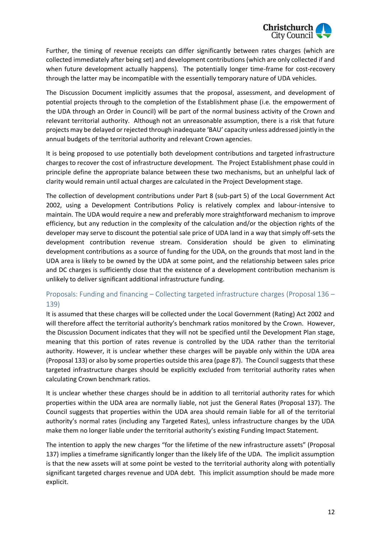

Further, the timing of revenue receipts can differ significantly between rates charges (which are collected immediately after being set) and development contributions (which are only collected if and when future development actually happens). The potentially longer time-frame for cost-recovery through the latter may be incompatible with the essentially temporary nature of UDA vehicles.

The Discussion Document implicitly assumes that the proposal, assessment, and development of potential projects through to the completion of the Establishment phase (i.e. the empowerment of the UDA through an Order in Council) will be part of the normal business activity of the Crown and relevant territorial authority. Although not an unreasonable assumption, there is a risk that future projects may be delayed or rejected through inadequate 'BAU' capacity unless addressed jointly in the annual budgets of the territorial authority and relevant Crown agencies.

It is being proposed to use potentially both development contributions and targeted infrastructure charges to recover the cost of infrastructure development. The Project Establishment phase could in principle define the appropriate balance between these two mechanisms, but an unhelpful lack of clarity would remain until actual charges are calculated in the Project Development stage.

The collection of development contributions under Part 8 (sub-part 5) of the Local Government Act 2002, using a Development Contributions Policy is relatively complex and labour-intensive to maintain. The UDA would require a new and preferably more straightforward mechanism to improve efficiency, but any reduction in the complexity of the calculation and/or the objection rights of the developer may serve to discount the potential sale price of UDA land in a way that simply off-sets the development contribution revenue stream. Consideration should be given to eliminating development contributions as a source of funding for the UDA, on the grounds that most land in the UDA area is likely to be owned by the UDA at some point, and the relationship between sales price and DC charges is sufficiently close that the existence of a development contribution mechanism is unlikely to deliver significant additional infrastructure funding.

# Proposals: Funding and financing – Collecting targeted infrastructure charges (Proposal 136 – 139)

It is assumed that these charges will be collected under the Local Government (Rating) Act 2002 and will therefore affect the territorial authority's benchmark ratios monitored by the Crown. However, the Discussion Document indicates that they will not be specified until the Development Plan stage, meaning that this portion of rates revenue is controlled by the UDA rather than the territorial authority. However, it is unclear whether these charges will be payable only within the UDA area (Proposal 133) or also by some properties outside this area (page 87). The Council suggests that these targeted infrastructure charges should be explicitly excluded from territorial authority rates when calculating Crown benchmark ratios.

It is unclear whether these charges should be in addition to all territorial authority rates for which properties within the UDA area are normally liable, not just the General Rates (Proposal 137). The Council suggests that properties within the UDA area should remain liable for all of the territorial authority's normal rates (including any Targeted Rates), unless infrastructure changes by the UDA make them no longer liable under the territorial authority's existing Funding Impact Statement.

The intention to apply the new charges "for the lifetime of the new infrastructure assets" (Proposal 137) implies a timeframe significantly longer than the likely life of the UDA. The implicit assumption is that the new assets will at some point be vested to the territorial authority along with potentially significant targeted charges revenue and UDA debt. This implicit assumption should be made more explicit.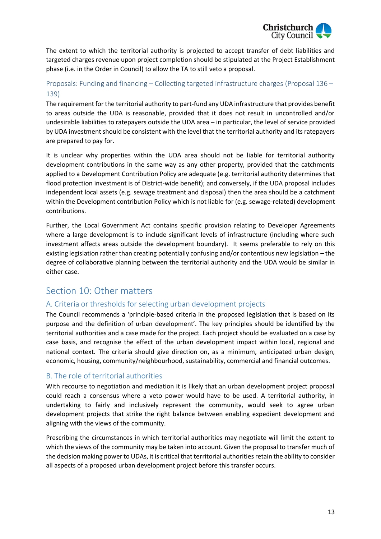

The extent to which the territorial authority is projected to accept transfer of debt liabilities and targeted charges revenue upon project completion should be stipulated at the Project Establishment phase (i.e. in the Order in Council) to allow the TA to still veto a proposal.

# Proposals: Funding and financing – Collecting targeted infrastructure charges (Proposal 136 – 139)

The requirement for the territorial authority to part-fund any UDA infrastructure that provides benefit to areas outside the UDA is reasonable, provided that it does not result in uncontrolled and/or undesirable liabilities to ratepayers outside the UDA area – in particular, the level of service provided by UDA investment should be consistent with the level that the territorial authority and its ratepayers are prepared to pay for.

It is unclear why properties within the UDA area should not be liable for territorial authority development contributions in the same way as any other property, provided that the catchments applied to a Development Contribution Policy are adequate (e.g. territorial authority determines that flood protection investment is of District-wide benefit); and conversely, if the UDA proposal includes independent local assets (e.g. sewage treatment and disposal) then the area should be a catchment within the Development contribution Policy which is not liable for (e.g. sewage-related) development contributions.

Further, the Local Government Act contains specific provision relating to Developer Agreements where a large development is to include significant levels of infrastructure (including where such investment affects areas outside the development boundary). It seems preferable to rely on this existing legislation rather than creating potentially confusing and/or contentious new legislation – the degree of collaborative planning between the territorial authority and the UDA would be similar in either case.

# Section 10: Other matters

# A. Criteria or thresholds for selecting urban development projects

The Council recommends a 'principle-based criteria in the proposed legislation that is based on its purpose and the definition of urban development'. The key principles should be identified by the territorial authorities and a case made for the project. Each project should be evaluated on a case by case basis, and recognise the effect of the urban development impact within local, regional and national context. The criteria should give direction on, as a minimum, anticipated urban design, economic, housing, community/neighbourhood, sustainability, commercial and financial outcomes.

# B. The role of territorial authorities

With recourse to negotiation and mediation it is likely that an urban development project proposal could reach a consensus where a veto power would have to be used. A territorial authority, in undertaking to fairly and inclusively represent the community, would seek to agree urban development projects that strike the right balance between enabling expedient development and aligning with the views of the community.

Prescribing the circumstances in which territorial authorities may negotiate will limit the extent to which the views of the community may be taken into account. Given the proposal to transfer much of the decision making power to UDAs, it is critical that territorial authorities retain the ability to consider all aspects of a proposed urban development project before this transfer occurs.